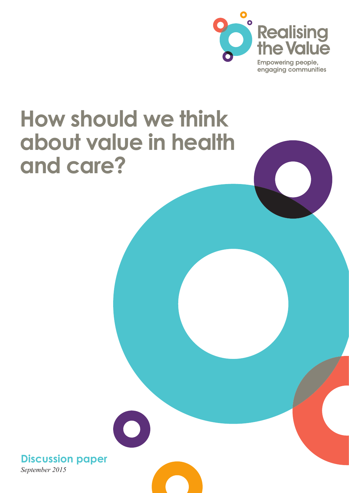

# **How should we think about value in health and care?**

*September 2015* **Discussion paper**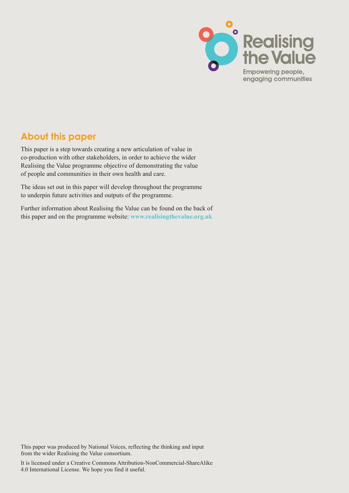

### **About this paper**

This paper is a step towards creating a new articulation of value in co-production with other stakeholders, in order to achieve the wider Realising the Value programme objective of demonstrating the value of people and communities in their own health and care.

The ideas set out in this paper will develop throughout the programme to underpin future activities and outputs of the programme.

Further information about Realising the Value can be found on the back of this paper and on the programme [website:](http://www.nesta.org.uk/project/realising-value?gclid=CO_-nb_O_cYCFWXJtAodtmMCmg) **[www.realisingthevalue.org.uk](http://www.nesta.org.uk)**

This paper was produced by National Voices, reflecting the thinking and input from the wider Realising the Value consortium.

**A A H H How should we think about value in the care of the care in the care of the care in the care in the care in the care in the care in the care in the care in the care in the care in the care in the care in th** It is licensed under a Creative Commons Attribution-NonCommercial-ShareAlike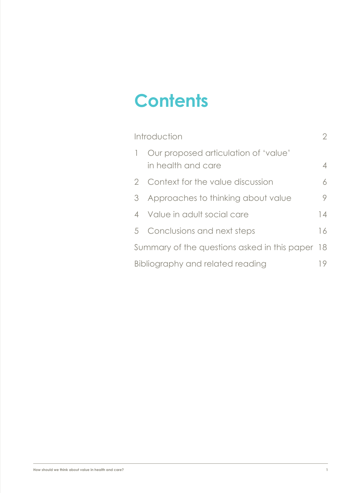# **Contents**

| Introduction                                    |                                                            | $\overline{2}$ |
|-------------------------------------------------|------------------------------------------------------------|----------------|
|                                                 | Our proposed articulation of 'value'<br>in health and care | 4              |
|                                                 | 2 Context for the value discussion                         | 6              |
| 3                                               | Approaches to thinking about value                         | 9              |
| $\overline{4}$                                  | Value in adult social care                                 | 14             |
|                                                 | 5 Conclusions and next steps                               | 16             |
| Summary of the questions asked in this paper 18 |                                                            |                |
| Bibliography and related reading                |                                                            | 19             |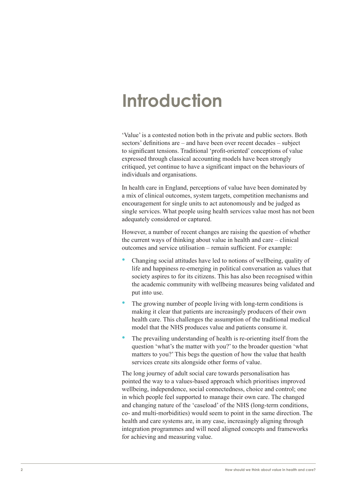# <span id="page-3-0"></span>**Introduction**

'Value' is a contested notion both in the private and public sectors. Both sectors' definitions are – and have been over recent decades – subject to significant tensions. Traditional 'profit-oriented' conceptions of value expressed through classical accounting models have been strongly critiqued, yet continue to have a significant impact on the behaviours of individuals and organisations.

In health care in England, perceptions of value have been dominated by a mix of clinical outcomes, system targets, competition mechanisms and encouragement for single units to act autonomously and be judged as single services. What people using health services value most has not been adequately considered or captured.

However, a number of recent changes are raising the question of whether the current ways of thinking about value in health and care – clinical outcomes and service utilisation – remain sufficient. For example:

- Changing social attitudes have led to notions of wellbeing, quality of life and happiness re-emerging in political conversation as values that society aspires to for its citizens. This has also been recognised within the academic community with wellbeing measures being validated and put into use.
- The growing number of people living with long-term conditions is making it clear that patients are increasingly producers of their own health care. This challenges the assumption of the traditional medical model that the NHS produces value and patients consume it.
- The prevailing understanding of health is re-orienting itself from the question 'what's the matter with you?' to the broader question 'what matters to you?' This begs the question of how the value that health services create sits alongside other forms of value.

The long journey of adult social care towards personalisation has pointed the way to a values-based approach which prioritises improved wellbeing, independence, social connectedness, choice and control; one in which people feel supported to manage their own care. The changed and changing nature of the 'caseload' of the NHS (long-term conditions, co- and multi-morbidities) would seem to point in the same direction. The health and care systems are, in any case, increasingly aligning through integration programmes and will need aligned concepts and frameworks for achieving and measuring value.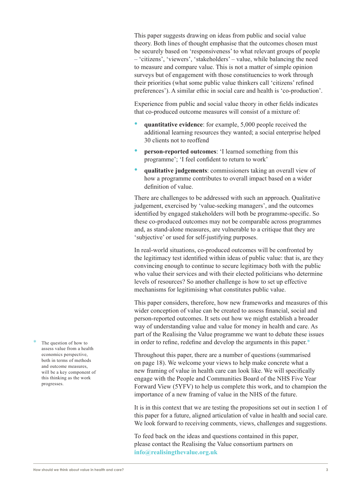This paper suggests drawing on ideas from public and social value theory. Both lines of thought emphasise that the outcomes chosen must be securely based on 'responsiveness' to what relevant groups of people – 'citizens', 'viewers', 'stakeholders' – value, while balancing the need to measure and compare value. This is not a matter of simple opinion surveys but of engagement with those constituencies to work through their priorities (what some public value thinkers call 'citizens' refined preferences'). A similar ethic in social care and health is 'co-production'.

Experience from public and social value theory in other fields indicates that co-produced outcome measures will consist of a mixture of:

- **quantitative evidence**: for example, 5,000 people received the additional learning resources they wanted; a social enterprise helped 30 clients not to reoffend
- **person-reported outcomes**: 'I learned something from this programme'; 'I feel confident to return to work'
- **qualitative judgements**: commissioners taking an overall view of how a programme contributes to overall impact based on a wider definition of value.

There are challenges to be addressed with such an approach. Qualitative judgement, exercised by 'value-seeking managers', and the outcomes identified by engaged stakeholders will both be programme-specific. So these co-produced outcomes may not be comparable across programmes and, as stand-alone measures, are vulnerable to a critique that they are 'subjective' or used for self-justifying purposes.

In real-world situations, co-produced outcomes will be confronted by the legitimacy test identified within ideas of public value: that is, are they convincing enough to continue to secure legitimacy both with the public who value their services and with their elected politicians who determine levels of resources? So another challenge is how to set up effective mechanisms for legitimising what constitutes public value.

This paper considers, therefore, how new frameworks and measures of this wider conception of value can be created to assess financial, social and person-reported outcomes. It sets out how we might establish a broader way of understanding value and value for money in health and care. As part of the Realising the Value programme we want to debate these issues in order to refine, redefine and develop the arguments in this paper.\*

Throughout this paper, there are a number of questions (summarised on page 18). We welcome your views to help make concrete what a new framing of value in health care can look like. We will specifically engage with the People and Communities Board of the NHS Five Year Forward View (5YFV) to help us complete this work, and to champion the importance of a new framing of value in the NHS of the future.

It is in this context that we are testing the propositions set out in section 1 of this paper for a future, aligned articulation of value in health and social care. We look forward to receiving comments, views, challenges and suggestions.

To feed back on the ideas and questions contained in this paper, please contact the Realising the Value consortium partners on **[info@realisingthevalue.org.uk](mailto:info@realisingthevalue.org.uk)**

The question of how to assess value from a health economics perspective, both in terms of methods and outcome measures, will be a key component of this thinking as the work progresses.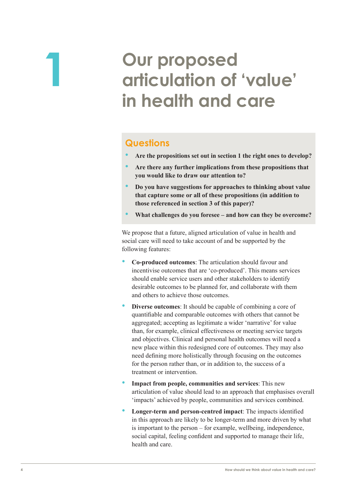# <span id="page-5-0"></span>**1 Our proposed articulation of 'value' in health and care**

### **Questions**

- **Are the propositions set out in section 1 the right ones to develop?**
- **Are there any further implications from these propositions that you would like to draw our attention to?**
- **Do you have suggestions for approaches to thinking about value that capture some or all of these propositions (in addition to those referenced in section 3 of this paper)?**
- **What challenges do you foresee and how can they be overcome?**

We propose that a future, aligned articulation of value in health and social care will need to take account of and be supported by the following features:

- **Co-produced outcomes**: The articulation should favour and incentivise outcomes that are 'co-produced'. This means services should enable service users and other stakeholders to identify desirable outcomes to be planned for, and collaborate with them and others to achieve those outcomes.
- **Diverse outcomes:** It should be capable of combining a core of quantifiable and comparable outcomes with others that cannot be aggregated; accepting as legitimate a wider 'narrative' for value than, for example, clinical effectiveness or meeting service targets and objectives. Clinical and personal health outcomes will need a new place within this redesigned core of outcomes. They may also need defining more holistically through focusing on the outcomes for the person rather than, or in addition to, the success of a treatment or intervention.
- **Impact from people, communities and services**: This new articulation of value should lead to an approach that emphasises overall 'impacts' achieved by people, communities and services combined.
- **Longer-term and person-centred impact**: The impacts identified in this approach are likely to be longer-term and more driven by what is important to the person – for example, wellbeing, independence, social capital, feeling confident and supported to manage their life, health and care.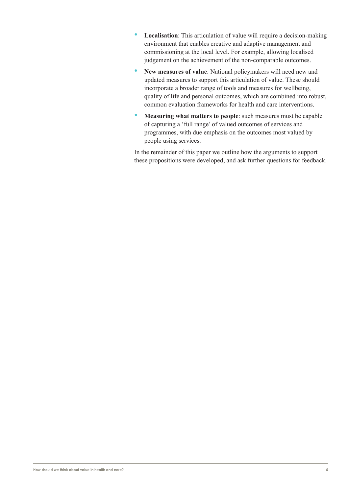- **Localisation**: This articulation of value will require a decision-making environment that enables creative and adaptive management and commissioning at the local level. For example, allowing localised judgement on the achievement of the non-comparable outcomes.
- **New measures of value**: National policymakers will need new and updated measures to support this articulation of value. These should incorporate a broader range of tools and measures for wellbeing, quality of life and personal outcomes, which are combined into robust, common evaluation frameworks for health and care interventions.
- **Measuring what matters to people**: such measures must be capable of capturing a 'full range' of valued outcomes of services and programmes, with due emphasis on the outcomes most valued by people using services.

In the remainder of this paper we outline how the arguments to support these propositions were developed, and ask further questions for feedback.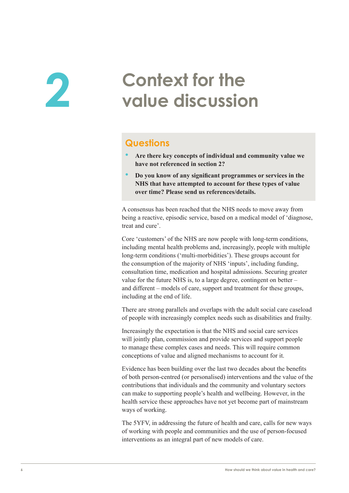# <span id="page-7-0"></span>**2 2 Context for the value discussion value discussion**

### **Questions**

- **Are there key concepts of individual and community value we have not referenced in section 2?**
- **Do you know of any significant programmes or services in the NHS that have attempted to account for these types of value over time? Please send us references/details.**

A consensus has been reached that the NHS needs to move away from being a reactive, episodic service, based on a medical model of 'diagnose, treat and cure'.

Core 'customers' of the NHS are now people with long-term conditions, including mental health problems and, increasingly, people with multiple long-term conditions ('multi-morbidities'). These groups account for the consumption of the majority of NHS 'inputs', including funding, consultation time, medication and hospital admissions. Securing greater value for the future NHS is, to a large degree, contingent on better – and different – models of care, support and treatment for these groups, including at the end of life.

There are strong parallels and overlaps with the adult social care caseload of people with increasingly complex needs such as disabilities and frailty.

Increasingly the expectation is that the NHS and social care services will jointly plan, commission and provide services and support people to manage these complex cases and needs. This will require common conceptions of value and aligned mechanisms to account for it.

Evidence has been building over the last two decades about the benefits of both person-centred (or personalised) interventions and the value of the contributions that individuals and the community and voluntary sectors can make to supporting people's health and wellbeing. However, in the health service these approaches have not yet become part of mainstream ways of working.

The 5YFV, in addressing the future of health and care, calls for new ways of working with people and communities and the use of person-focused interventions as an integral part of new models of care.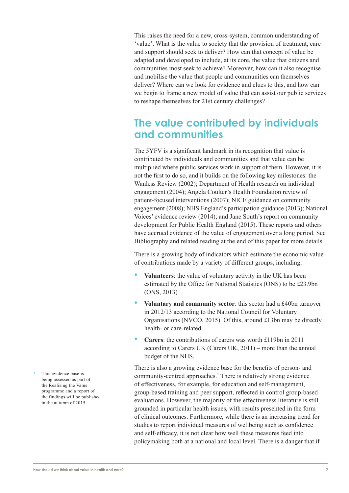This raises the need for a new, cross-system, common understanding of 'value'. What is the value to society that the provision of treatment, care and support should seek to deliver? How can that concept of value be adapted and developed to include, at its core, the value that citizens and communities most seek to achieve? Moreover, how can it also recognise and mobilise the value that people and communities can themselves deliver? Where can we look for evidence and clues to this, and how can we begin to frame a new model of value that can assist our public services to reshape themselves for 21st century challenges?

## **The value contributed by individuals and communities**

The 5YFV is a significant landmark in its recognition that value is contributed by individuals and communities and that value can be multiplied where public services work in support of them. However, it is not the first to do so, and it builds on the following key milestones: the Wanless Review (2002); Department of Health research on individual engagement (2004); Angela Coulter's Health Foundation review of patient-focused interventions (2007); NICE guidance on community engagement (2008); NHS England's participation guidance (2013); National Voices' evidence review (2014); and Jane South's report on community development for Public Health England (2015). These reports and others have accrued evidence of the value of engagement over a long period. See Bibliography and related reading at the end of this paper for more details.

There is a growing body of indicators which estimate the economic value of contributions made by a variety of different groups, including:

- **Volunteers**: the value of voluntary activity in the UK has been estimated by the Office for National Statistics (ONS) to be £23.9bn (ONS, 2013)
- **Voluntary and community sector**: this sector had a £40bn turnover in 2012/13 according to the National Council for Voluntary Organisations (NVCO, 2015). Of this, around £13bn may be directly health- or care-related
- **Carers**: the contributions of carers was worth £119bn in 2011 according to Carers UK (Carers UK, 2011) – more than the annual budget of the NHS.

There is also a growing evidence base for the benefits of person- and community-centred approaches.\* There is relatively strong evidence of effectiveness, for example, for education and self-management, group-based training and peer support, reflected in control group-based evaluations. However, the majority of the effectiveness literature is still grounded in particular health issues, with results presented in the form of clinical outcomes. Furthermore, while there is an increasing trend for studies to report individual measures of wellbeing such as confidence and self-efficacy, it is not clear how well these measures feed into policymaking both at a national and local level. There is a danger that if

This evidence base is being assessed as part of the Realising the Value programme and a report of the findings will be published in the autumn of 2015.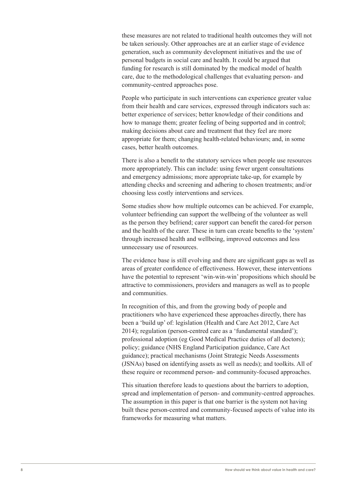these measures are not related to traditional health outcomes they will not be taken seriously. Other approaches are at an earlier stage of evidence generation, such as community development initiatives and the use of personal budgets in social care and health. It could be argued that funding for research is still dominated by the medical model of health care, due to the methodological challenges that evaluating person- and community-centred approaches pose.

People who participate in such interventions can experience greater value from their health and care services, expressed through indicators such as: better experience of services; better knowledge of their conditions and how to manage them; greater feeling of being supported and in control; making decisions about care and treatment that they feel are more appropriate for them; changing health-related behaviours; and, in some cases, better health outcomes.

There is also a benefit to the statutory services when people use resources more appropriately. This can include: using fewer urgent consultations and emergency admissions; more appropriate take-up, for example by attending checks and screening and adhering to chosen treatments; and/or choosing less costly interventions and services.

Some studies show how multiple outcomes can be achieved. For example, volunteer befriending can support the wellbeing of the volunteer as well as the person they befriend; carer support can benefit the cared-for person and the health of the carer. These in turn can create benefits to the 'system' through increased health and wellbeing, improved outcomes and less unnecessary use of resources.

The evidence base is still evolving and there are significant gaps as well as areas of greater confidence of effectiveness. However, these interventions have the potential to represent 'win-win-win' propositions which should be attractive to commissioners, providers and managers as well as to people and communities.

In recognition of this, and from the growing body of people and practitioners who have experienced these approaches directly, there has been a 'build up' of: legislation (Health and Care Act 2012, Care Act 2014); regulation (person-centred care as a 'fundamental standard'); professional adoption (eg Good Medical Practice duties of all doctors); policy; guidance (NHS England Participation guidance, Care Act guidance); practical mechanisms (Joint Strategic Needs Assessments (JSNAs) based on identifying assets as well as needs); and toolkits. All of these require or recommend person- and community-focused approaches.

This situation therefore leads to questions about the barriers to adoption, spread and implementation of person- and community-centred approaches. The assumption in this paper is that one barrier is the system not having built these person-centred and community-focused aspects of value into its frameworks for measuring what matters.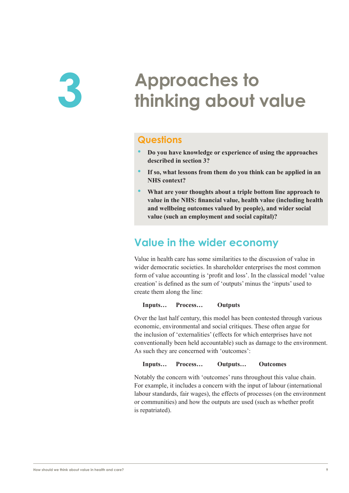# <span id="page-10-0"></span>**3 Approaches to thinking about value**

### **Questions**

- **Do you have knowledge or experience of using the approaches described in section 3?**
- **If so, what lessons from them do you think can be applied in an NHS context?**
- **What are your thoughts about a triple bottom line approach to value in the NHS: financial value, health value (including health and wellbeing outcomes valued by people), and wider social value (such an employment and social capital)?**

## **Value in the wider economy**

Value in health care has some similarities to the discussion of value in wider democratic societies. In shareholder enterprises the most common form of value accounting is 'profit and loss'. In the classical model 'value creation' is defined as the sum of 'outputs' minus the 'inputs' used to create them along the line:

**Inputs… Process… Outputs**

Over the last half century, this model has been contested through various economic, environmental and social critiques. These often argue for the inclusion of 'externalities' (effects for which enterprises have not conventionally been held accountable) such as damage to the environment. As such they are concerned with 'outcomes':

**Inputs… Process… Outputs… Outcomes**

Notably the concern with 'outcomes' runs throughout this value chain. For example, it includes a concern with the input of labour (international labour standards, fair wages), the effects of processes (on the environment or communities) and how the outputs are used (such as whether profit is repatriated).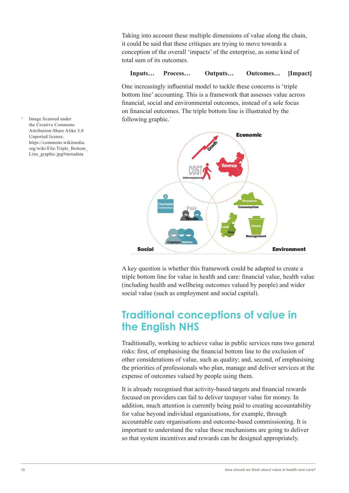Taking into account these multiple dimensions of value along the chain, it could be said that these critiques are trying to move towards a conception of the overall 'impacts' of the enterprise, as some kind of total sum of its outcomes.

#### **Inputs… Process… Outputs… Outcomes… [Impact]**

One increasingly influential model to tackle these concerns is 'triple bottom line' accounting. This is a framework that assesses value across financial, social and environmental outcomes, instead of a sole focus on financial outcomes. The triple bottom line is illustrated by the following graphic.\*



A key question is whether this framework could be adapted to create a triple bottom line for value in health and care: financial value, health value (including health and wellbeing outcomes valued by people) and wider social value (such as employment and social capital).

## **Traditional conceptions of value in the English NHS**

Traditionally, working to achieve value in public services runs two general risks: first, of emphasising the financial bottom line to the exclusion of other considerations of value, such as quality; and, second, of emphasising the priorities of professionals who plan, manage and deliver services at the expense of outcomes valued by people using them.

It is already recognised that activity-based targets and financial rewards focused on providers can fail to deliver taxpayer value for money. In addition, much attention is currently being paid to creating accountability for value beyond individual organisations, for example, through accountable care organisations and outcome-based commissioning. It is important to understand the value these mechanisms are going to deliver so that system incentives and rewards can be designed appropriately.

Image licensed under the Creative Commons Attribution-Share Alike 3.0 Unported license. https://commons.wikimedia. org/wiki/File:Triple\_Bottom\_ Line\_graphic.jpg#metadata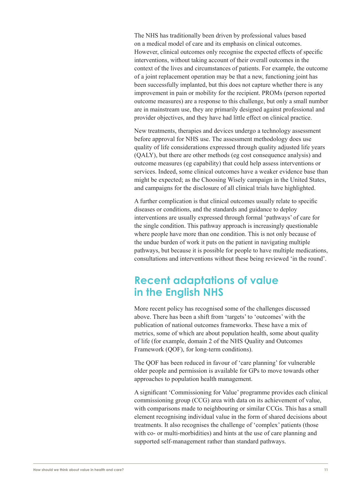The NHS has traditionally been driven by professional values based on a medical model of care and its emphasis on clinical outcomes. However, clinical outcomes only recognise the expected effects of specific interventions, without taking account of their overall outcomes in the context of the lives and circumstances of patients. For example, the outcome of a joint replacement operation may be that a new, functioning joint has been successfully implanted, but this does not capture whether there is any improvement in pain or mobility for the recipient. PROMs (person reported outcome measures) are a response to this challenge, but only a small number are in mainstream use, they are primarily designed against professional and provider objectives, and they have had little effect on clinical practice.

New treatments, therapies and devices undergo a technology assessment before approval for NHS use. The assessment methodology does use quality of life considerations expressed through quality adjusted life years (QALY), but there are other methods (eg cost consequence analysis) and outcome measures (eg capability) that could help assess interventions or services. Indeed, some clinical outcomes have a weaker evidence base than might be expected; as the Choosing Wisely campaign in the United States, and campaigns for the disclosure of all clinical trials have highlighted.

A further complication is that clinical outcomes usually relate to specific diseases or conditions, and the standards and guidance to deploy interventions are usually expressed through formal 'pathways' of care for the single condition. This pathway approach is increasingly questionable where people have more than one condition. This is not only because of the undue burden of work it puts on the patient in navigating multiple pathways, but because it is possible for people to have multiple medications, consultations and interventions without these being reviewed 'in the round'.

## **Recent adaptations of value in the English NHS**

More recent policy has recognised some of the challenges discussed above. There has been a shift from 'targets' to 'outcomes' with the publication of national outcomes frameworks. These have a mix of metrics, some of which are about population health, some about quality of life (for example, domain 2 of the NHS Quality and Outcomes Framework (QOF), for long-term conditions).

The QOF has been reduced in favour of 'care planning' for vulnerable older people and permission is available for GPs to move towards other approaches to population health management.

A significant 'Commissioning for Value' programme provides each clinical commissioning group (CCG) area with data on its achievement of value, with comparisons made to neighbouring or similar CCGs. This has a small element recognising individual value in the form of shared decisions about treatments. It also recognises the challenge of 'complex' patients (those with co- or multi-morbidities) and hints at the use of care planning and supported self-management rather than standard pathways.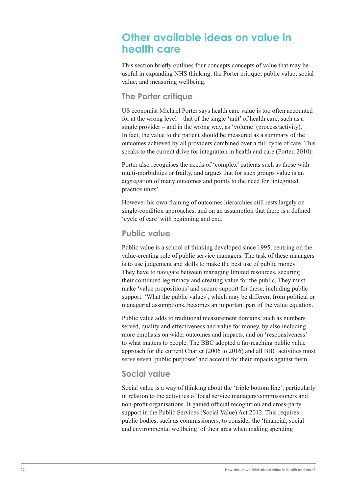## **Other available ideas on value in health care**

This section briefly outlines four concepts concepts of value that may be useful in expanding NHS thinking: the Porter critique; public value; social value; and measuring wellbeing.

### **The Porter critique**

US economist Michael Porter says health care value is too often accounted for at the wrong level – that of the single 'unit' of health care, such as a single provider – and in the wrong way, as 'volume' (process/activity). In fact, the value to the patient should be measured as a summary of the outcomes achieved by all providers combined over a full cycle of care. This speaks to the current drive for integration in health and care (Porter, 2010).

Porter also recognises the needs of 'complex' patients such as those with multi-morbidities or frailty, and argues that for such groups value is an aggregation of many outcomes and points to the need for 'integrated practice units'.

However his own framing of outcomes hierarchies still rests largely on single-condition approaches, and on an assumption that there is a defined 'cycle of care' with beginning and end.

#### **Public value**

Public value is a school of thinking developed since 1995, centring on the value-creating role of public service managers. The task of these managers is to use judgement and skills to make the best use of public money. They have to navigate between managing limited resources, securing their continued legitimacy and creating value for the public. They must make 'value propositions' and secure support for these, including public support. 'What the public values', which may be different from political or managerial assumptions, becomes an important part of the value equation.

Public value adds to traditional measurement domains, such as numbers served, quality and effectiveness and value for money, by also including more emphasis on wider outcomes and impacts, and on 'responsiveness' to what matters to people. The BBC adopted a far-reaching public value approach for the current Charter (2006 to 2016) and all BBC activities must serve seven 'public purposes' and account for their impacts against them.

### **Social value**

Social value is a way of thinking about the 'triple bottom line', particularly in relation to the activities of local service managers/commissioners and non-profit organisations. It gained official recognition and cross-party support in the Public Services (Social Value) Act 2012. This requires public bodies, such as commissioners, to consider the 'financial, social and environmental wellbeing' of their area when making spending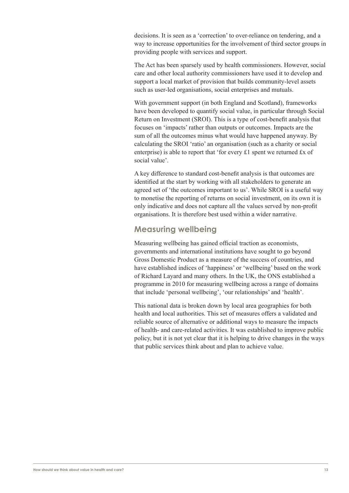decisions. It is seen as a 'correction' to over-reliance on tendering, and a way to increase opportunities for the involvement of third sector groups in providing people with services and support.

The Act has been sparsely used by health commissioners. However, social care and other local authority commissioners have used it to develop and support a local market of provision that builds community-level assets such as user-led organisations, social enterprises and mutuals.

With government support (in both England and Scotland), frameworks have been developed to quantify social value, in particular through Social Return on Investment (SROI). This is a type of cost-benefit analysis that focuses on 'impacts' rather than outputs or outcomes. Impacts are the sum of all the outcomes minus what would have happened anyway. By calculating the SROI 'ratio' an organisation (such as a charity or social enterprise) is able to report that 'for every £1 spent we returned £x of social value'.

A key difference to standard cost-benefit analysis is that outcomes are identified at the start by working with all stakeholders to generate an agreed set of 'the outcomes important to us'. While SROI is a useful way to monetise the reporting of returns on social investment, on its own it is only indicative and does not capture all the values served by non-profit organisations. It is therefore best used within a wider narrative.

#### **Measuring wellbeing**

Measuring wellbeing has gained official traction as economists, governments and international institutions have sought to go beyond Gross Domestic Product as a measure of the success of countries, and have established indices of 'happiness' or 'wellbeing' based on the work of Richard Layard and many others. In the UK, the ONS established a programme in 2010 for measuring wellbeing across a range of domains that include 'personal wellbeing', 'our relationships' and 'health'.

This national data is broken down by local area geographies for both health and local authorities. This set of measures offers a validated and reliable source of alternative or additional ways to measure the impacts of health- and care-related activities. It was established to improve public policy, but it is not yet clear that it is helping to drive changes in the ways that public services think about and plan to achieve value.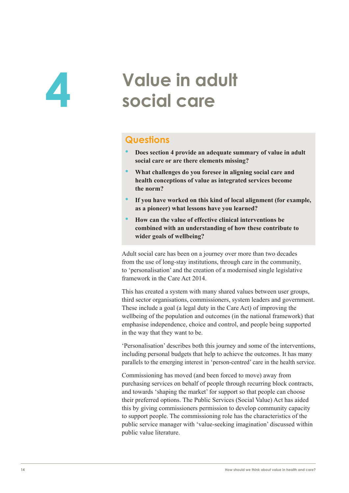# <span id="page-15-0"></span>**4 Value in adult social care**

### **Questions**

- **Does section 4 provide an adequate summary of value in adult social care or are there elements missing?**
- **What challenges do you foresee in aligning social care and health conceptions of value as integrated services become the norm?**
- **If you have worked on this kind of local alignment (for example, as a pioneer) what lessons have you learned?**
- **How can the value of effective clinical interventions be combined with an understanding of how these contribute to wider goals of wellbeing?**

Adult social care has been on a journey over more than two decades from the use of long-stay institutions, through care in the community, to 'personalisation' and the creation of a modernised single legislative framework in the Care Act 2014.

This has created a system with many shared values between user groups, third sector organisations, commissioners, system leaders and government. These include a goal (a legal duty in the Care Act) of improving the wellbeing of the population and outcomes (in the national framework) that emphasise independence, choice and control, and people being supported in the way that they want to be.

'Personalisation' describes both this journey and some of the interventions, including personal budgets that help to achieve the outcomes. It has many parallels to the emerging interest in 'person-centred' care in the health service.

Commissioning has moved (and been forced to move) away from purchasing services on behalf of people through recurring block contracts, and towards 'shaping the market' for support so that people can choose their preferred options. The Public Services (Social Value) Act has aided this by giving commissioners permission to develop community capacity to support people. The commissioning role has the characteristics of the public service manager with 'value-seeking imagination' discussed within public value literature.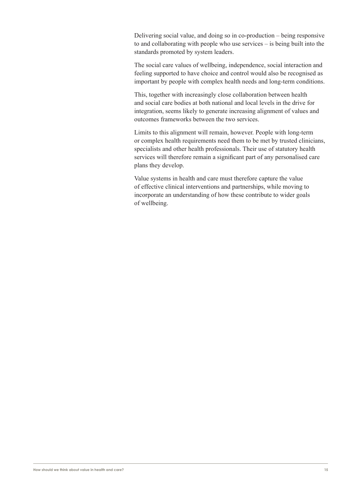Delivering social value, and doing so in co-production – being responsive to and collaborating with people who use services – is being built into the standards promoted by system leaders.

The social care values of wellbeing, independence, social interaction and feeling supported to have choice and control would also be recognised as important by people with complex health needs and long-term conditions.

This, together with increasingly close collaboration between health and social care bodies at both national and local levels in the drive for integration, seems likely to generate increasing alignment of values and outcomes frameworks between the two services.

Limits to this alignment will remain, however. People with long-term or complex health requirements need them to be met by trusted clinicians, specialists and other health professionals. Their use of statutory health services will therefore remain a significant part of any personalised care plans they develop.

Value systems in health and care must therefore capture the value of effective clinical interventions and partnerships, while moving to incorporate an understanding of how these contribute to wider goals of wellbeing.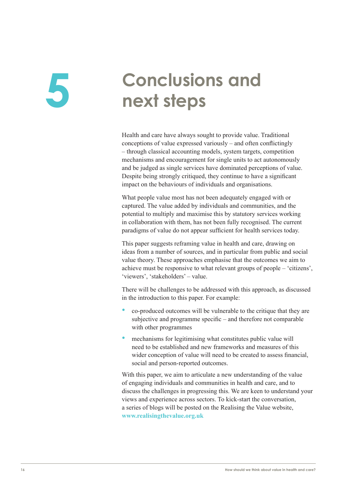# <span id="page-17-0"></span>**5 Conclusions and next steps**

Health and care have always sought to provide value. Traditional conceptions of value expressed variously – and often conflictingly – through classical accounting models, system targets, competition mechanisms and encouragement for single units to act autonomously and be judged as single services have dominated perceptions of value. Despite being strongly critiqued, they continue to have a significant impact on the behaviours of individuals and organisations.

What people value most has not been adequately engaged with or captured. The value added by individuals and communities, and the potential to multiply and maximise this by statutory services working in collaboration with them, has not been fully recognised. The current paradigms of value do not appear sufficient for health services today.

This paper suggests reframing value in health and care, drawing on ideas from a number of sources, and in particular from public and social value theory. These approaches emphasise that the outcomes we aim to achieve must be responsive to what relevant groups of people – 'citizens', 'viewers', 'stakeholders' – value.

There will be challenges to be addressed with this approach, as discussed in the introduction to this paper. For example:

- co-produced outcomes will be vulnerable to the critique that they are subjective and programme specific – and therefore not comparable with other programmes
- mechanisms for legitimising what constitutes public value will need to be established and new frameworks and measures of this wider conception of value will need to be created to assess financial, social and person-reported outcomes.

With this paper, we aim to articulate a new understanding of the value of engaging individuals and communities in health and care, and to discuss the challenges in progressing this. We are keen to understand your views and experience across sectors. To kick-start the conversation, a series of blogs will be posted on the Realising the Value website, **www.realisingthevalue.org.uk**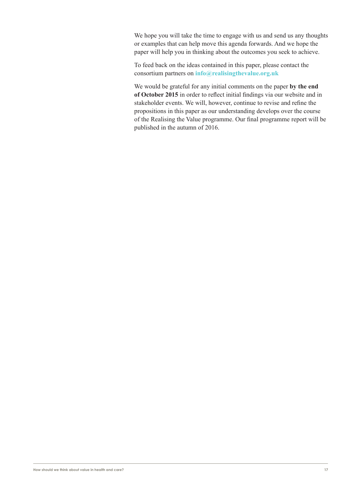We hope you will take the time to engage with us and send us any thoughts or examples that can help move this agenda forwards. And we hope the paper will help you in thinking about the outcomes you seek to achieve.

To feed back on the ideas contained in this paper, please contact the consortium partners on **[info@realisingthevalue.org.uk](mailto:info@realisingthevalue.org.uk)**

We would be grateful for any initial comments on the paper **by the end of October 2015** in order to reflect initial findings via our website and in stakeholder events. We will, however, continue to revise and refine the propositions in this paper as our understanding develops over the course of the Realising the Value programme. Our final programme report will be published in the autumn of 2016.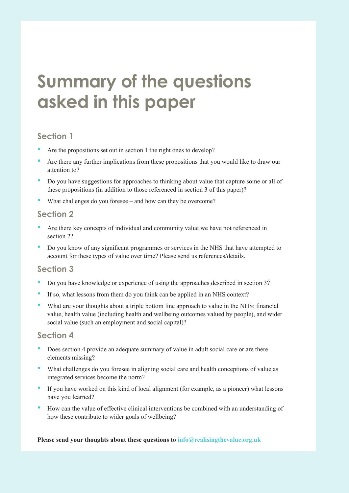# <span id="page-19-0"></span>**Summary of the questions asked in this paper**

### **Section 1**

- Are the propositions set out in section 1 the right ones to develop?
- Are there any further implications from these propositions that you would like to draw our attention to?
- Do you have suggestions for approaches to thinking about value that capture some or all of these propositions (in addition to those referenced in section 3 of this paper)?
- What challenges do you foresee and how can they be overcome?

#### **Section 2**

- Are there key concepts of individual and community value we have not referenced in section 2?
- Do you know of any significant programmes or services in the NHS that have attempted to account for these types of value over time? Please send us references/details.

### **Section 3**

- Do you have knowledge or experience of using the approaches described in section 3?
- If so, what lessons from them do you think can be applied in an NHS context?
- What are your thoughts about a triple bottom line approach to value in the NHS: financial value, health value (including health and wellbeing outcomes valued by people), and wider social value (such an employment and social capital)?

#### **Section 4**

- Does section 4 provide an adequate summary of value in adult social care or are there elements missing?
- What challenges do you foresee in aligning social care and health conceptions of value as integrated services become the norm?
- If you have worked on this kind of local alignment (for example, as a pioneer) what lessons have you learned?
- How can the value of effective clinical interventions be combined with an understanding of how these contribute to wider goals of wellbeing?

#### **Please send your thoughts about these questions to [info@realisingthevalue.org.uk](mailto:info@realisingthevalue.org.uk)**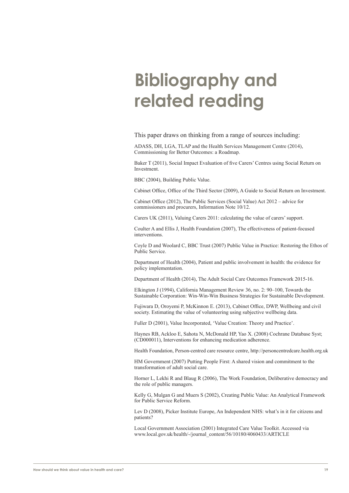# <span id="page-20-0"></span>**Bibliography and related reading**

This paper draws on thinking from a range of sources including:

ADASS, DH, LGA, TLAP and the Health Services Management Centre (2014), Commissioning for Better Outcomes: a Roadmap.

Baker T (2011), Social Impact Evaluation of five Carers' Centres using Social Return on Investment.

BBC (2004), Building Public Value.

Cabinet Office, Office of the Third Sector (2009), A Guide to Social Return on Investment.

Cabinet Office (2012), The Public Services (Social Value) Act 2012 – advice for commissioners and procurers, Information Note 10/12.

Carers UK (2011), Valuing Carers 2011: calculating the value of carers' support.

Coulter A and Ellis J, Health Foundation (2007), The effectiveness of patient-focused interventions.

Coyle D and Woolard C, BBC Trust (2007) Public Value in Practice: Restoring the Ethos of Public Service.

Department of Health (2004), Patient and public involvement in health: the evidence for policy implementation.

Department of Health (2014), The Adult Social Care Outcomes Framework 2015-16.

Elkington J (1994), California Management Review 36, no. 2: 90–100, Towards the Sustainable Corporation: Win-Win-Win Business Strategies for Sustainable Development.

Fujiwara D, Oroyemi P, McKinnon E. (2013), Cabinet Office, DWP, Wellbeing and civil society. Estimating the value of volunteering using subjective wellbeing data.

Fuller D (2001), Value Incorporated, 'Value Creation: Theory and Practice'.

Haynes RB, Ackloo E, Sahota N, McDonald HP, Yao X. (2008) Cochrane Database Syst; (CD000011), Interventions for enhancing medication adherence.

Health Foundation, Person-centred care resource centre, http://personcentredcare.health.org.uk

HM Government (2007) Putting People First: A shared vision and commitment to the transformation of adult social care.

Horner L, Lekhi R and Blaug R (2006), The Work Foundation, Deliberative democracy and the role of public managers.

Kelly G, Mulgan G and Muers S (2002), Creating Public Value: An Analytical Framework for Public Service Reform.

Lev D (2008), Picker Institute Europe, An Independent NHS: what's in it for citizens and patients?

Local Government Association (2001) Integrated Care Value Toolkit. Accessed via www.local.gov.uk/health/-/journal\_content/56/10180/4060433/ARTICLE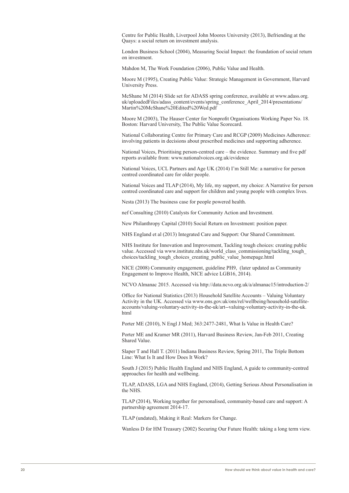Centre for Public Health, Liverpool John Moores University (2013), Befriending at the Quays: a social return on investment analysis.

London Business School (2004), Measuring Social Impact: the foundation of social return on investment.

Mahdon M, The Work Foundation (2006), Public Value and Health.

Moore M (1995), Creating Public Value: Strategic Management in Government, Harvard University Press.

McShane M (2014) Slide set for ADASS spring conference, available at www.adass.org. uk/uploadedFiles/adass\_content/events/spring\_conference\_April\_2014/presentations/ Martin%20McShane%20Edited%20Wed.pdf

Moore M (2003), The Hauser Center for Nonprofit Organisations Working Paper No. 18. Boston: Harvard University, The Public Value Scorecard.

National Collaborating Centre for Primary Care and RCGP (2009) Medicines Adherence: involving patients in decisions about prescribed medicines and supporting adherence.

National Voices, Prioritising person-centred care – the evidence. Summary and five pdf reports available from: www.nationalvoices.org.uk/evidence

National Voices, UCL Partners and Age UK (2014) I'm Still Me: a narrative for person centred coordinated care for older people.

National Voices and TLAP (2014), My life, my support, my choice: A Narrative for person centred coordinated care and support for children and young people with complex lives.

Nesta (2013) The business case for people powered health.

nef Consulting (2010) Catalysts for Community Action and Investment.

New Philanthropy Capital (2010) Social Return on Investment: position paper.

NHS England et al (2013) Integrated Care and Support: Our Shared Commitment.

NHS Institute for Innovation and Improvement, Tackling tough choices: creating public value. Accessed via www.institute.nhs.uk/world\_class\_commissioning/tackling\_tough choices/tackling\_tough\_choices\_creating\_public\_value\_homepage.html

NICE (2008) Community engagement, guideline PH9, (later updated as Community Engagement to Improve Health, NICE advice LGB16, 2014).

NCVO Almanac 2015. Accessed via http://data.ncvo.org.uk/a/almanac15/introduction-2/

Office for National Statistics (2013) Household Satellite Accounts – Valuing Voluntary Activity in the UK. Accessed via www.ons.gov.uk/ons/rel/wellbeing/household-satelliteaccounts/valuing-voluntary-activity-in-the-uk/art--valuing-voluntary-activity-in-the-uk. html

Porter ME (2010), N Engl J Med; 363:2477-2481, What Is Value in Health Care?

Porter ME and Kramer MR (2011), Harvard Business Review, Jan-Feb 2011, Creating Shared Value.

Slaper T and Hall T. (2011) Indiana Business Review, Spring 2011, The Triple Bottom Line: What Is It and How Does It Work?

South J (2015) Public Health England and NHS England, A guide to community-centred approaches for health and wellbeing.

TLAP, ADASS, LGA and NHS England, (2014), Getting Serious About Personalisation in the NHS.

TLAP (2014), Working together for personalised, community-based care and support: A partnership agreement 2014-17.

TLAP (undated), Making it Real: Markers for Change.

Wanless D for HM Treasury (2002) Securing Our Future Health: taking a long term view.